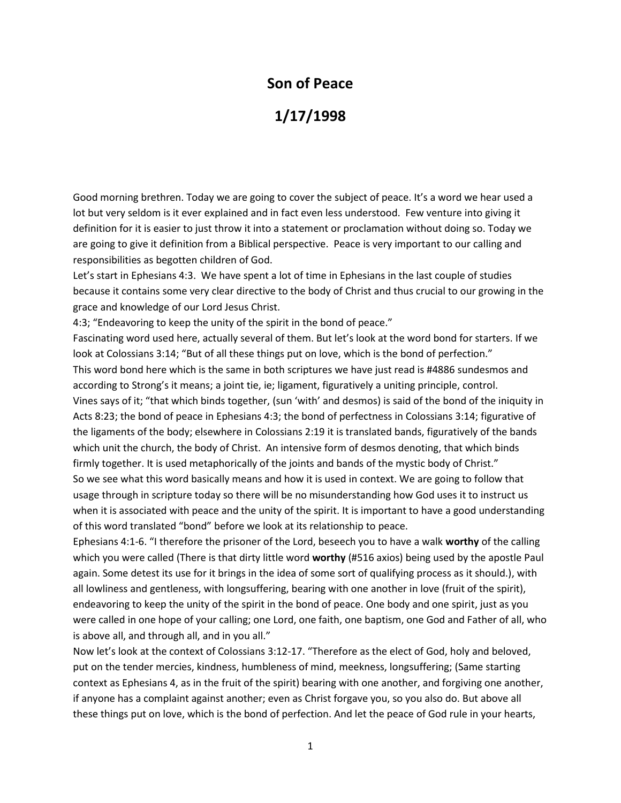## **Son of Peace**

## **1/17/1998**

Good morning brethren. Today we are going to cover the subject of peace. It's a word we hear used a lot but very seldom is it ever explained and in fact even less understood. Few venture into giving it definition for it is easier to just throw it into a statement or proclamation without doing so. Today we are going to give it definition from a Biblical perspective. Peace is very important to our calling and responsibilities as begotten children of God.

Let's start in Ephesians 4:3. We have spent a lot of time in Ephesians in the last couple of studies because it contains some very clear directive to the body of Christ and thus crucial to our growing in the grace and knowledge of our Lord Jesus Christ.

4:3; "Endeavoring to keep the unity of the spirit in the bond of peace."

Fascinating word used here, actually several of them. But let's look at the word bond for starters. If we look at Colossians 3:14; "But of all these things put on love, which is the bond of perfection." This word bond here which is the same in both scriptures we have just read is #4886 sundesmos and according to Strong's it means; a joint tie, ie; ligament, figuratively a uniting principle, control. Vines says of it; "that which binds together, (sun 'with' and desmos) is said of the bond of the iniquity in Acts 8:23; the bond of peace in Ephesians 4:3; the bond of perfectness in Colossians 3:14; figurative of the ligaments of the body; elsewhere in Colossians 2:19 it is translated bands, figuratively of the bands which unit the church, the body of Christ. An intensive form of desmos denoting, that which binds firmly together. It is used metaphorically of the joints and bands of the mystic body of Christ."

So we see what this word basically means and how it is used in context. We are going to follow that usage through in scripture today so there will be no misunderstanding how God uses it to instruct us when it is associated with peace and the unity of the spirit. It is important to have a good understanding of this word translated "bond" before we look at its relationship to peace.

Ephesians 4:1-6. "I therefore the prisoner of the Lord, beseech you to have a walk **worthy** of the calling which you were called (There is that dirty little word **worthy** (#516 axios) being used by the apostle Paul again. Some detest its use for it brings in the idea of some sort of qualifying process as it should.), with all lowliness and gentleness, with longsuffering, bearing with one another in love (fruit of the spirit), endeavoring to keep the unity of the spirit in the bond of peace. One body and one spirit, just as you were called in one hope of your calling; one Lord, one faith, one baptism, one God and Father of all, who is above all, and through all, and in you all."

Now let's look at the context of Colossians 3:12-17. "Therefore as the elect of God, holy and beloved, put on the tender mercies, kindness, humbleness of mind, meekness, longsuffering; (Same starting context as Ephesians 4, as in the fruit of the spirit) bearing with one another, and forgiving one another, if anyone has a complaint against another; even as Christ forgave you, so you also do. But above all these things put on love, which is the bond of perfection. And let the peace of God rule in your hearts,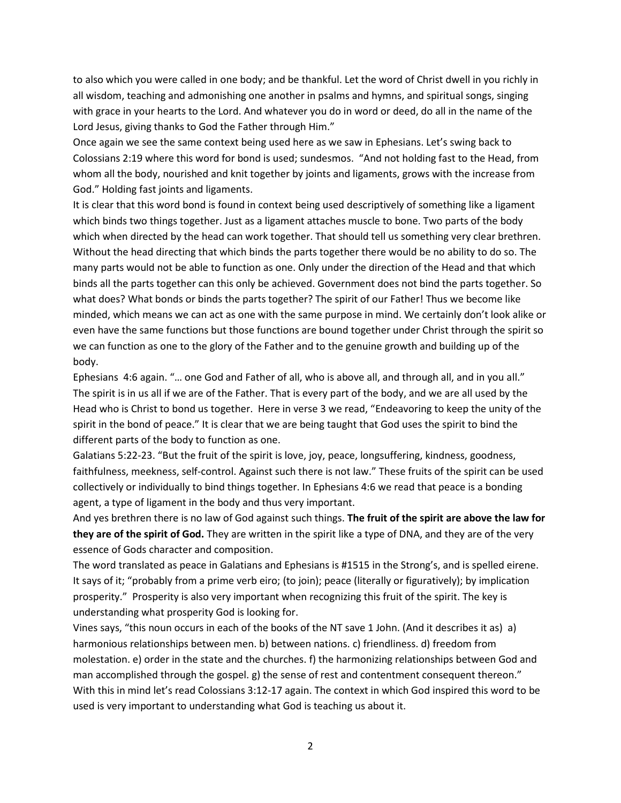to also which you were called in one body; and be thankful. Let the word of Christ dwell in you richly in all wisdom, teaching and admonishing one another in psalms and hymns, and spiritual songs, singing with grace in your hearts to the Lord. And whatever you do in word or deed, do all in the name of the Lord Jesus, giving thanks to God the Father through Him."

Once again we see the same context being used here as we saw in Ephesians. Let's swing back to Colossians 2:19 where this word for bond is used; sundesmos. "And not holding fast to the Head, from whom all the body, nourished and knit together by joints and ligaments, grows with the increase from God." Holding fast joints and ligaments.

It is clear that this word bond is found in context being used descriptively of something like a ligament which binds two things together. Just as a ligament attaches muscle to bone. Two parts of the body which when directed by the head can work together. That should tell us something very clear brethren. Without the head directing that which binds the parts together there would be no ability to do so. The many parts would not be able to function as one. Only under the direction of the Head and that which binds all the parts together can this only be achieved. Government does not bind the parts together. So what does? What bonds or binds the parts together? The spirit of our Father! Thus we become like minded, which means we can act as one with the same purpose in mind. We certainly don't look alike or even have the same functions but those functions are bound together under Christ through the spirit so we can function as one to the glory of the Father and to the genuine growth and building up of the body.

Ephesians 4:6 again. "… one God and Father of all, who is above all, and through all, and in you all." The spirit is in us all if we are of the Father. That is every part of the body, and we are all used by the Head who is Christ to bond us together. Here in verse 3 we read, "Endeavoring to keep the unity of the spirit in the bond of peace." It is clear that we are being taught that God uses the spirit to bind the different parts of the body to function as one.

Galatians 5:22-23. "But the fruit of the spirit is love, joy, peace, longsuffering, kindness, goodness, faithfulness, meekness, self-control. Against such there is not law." These fruits of the spirit can be used collectively or individually to bind things together. In Ephesians 4:6 we read that peace is a bonding agent, a type of ligament in the body and thus very important.

And yes brethren there is no law of God against such things. **The fruit of the spirit are above the law for they are of the spirit of God.** They are written in the spirit like a type of DNA, and they are of the very essence of Gods character and composition.

The word translated as peace in Galatians and Ephesians is #1515 in the Strong's, and is spelled eirene. It says of it; "probably from a prime verb eiro; (to join); peace (literally or figuratively); by implication prosperity." Prosperity is also very important when recognizing this fruit of the spirit. The key is understanding what prosperity God is looking for.

Vines says, "this noun occurs in each of the books of the NT save 1 John. (And it describes it as) a) harmonious relationships between men. b) between nations. c) friendliness. d) freedom from molestation. e) order in the state and the churches. f) the harmonizing relationships between God and man accomplished through the gospel. g) the sense of rest and contentment consequent thereon." With this in mind let's read Colossians 3:12-17 again. The context in which God inspired this word to be used is very important to understanding what God is teaching us about it.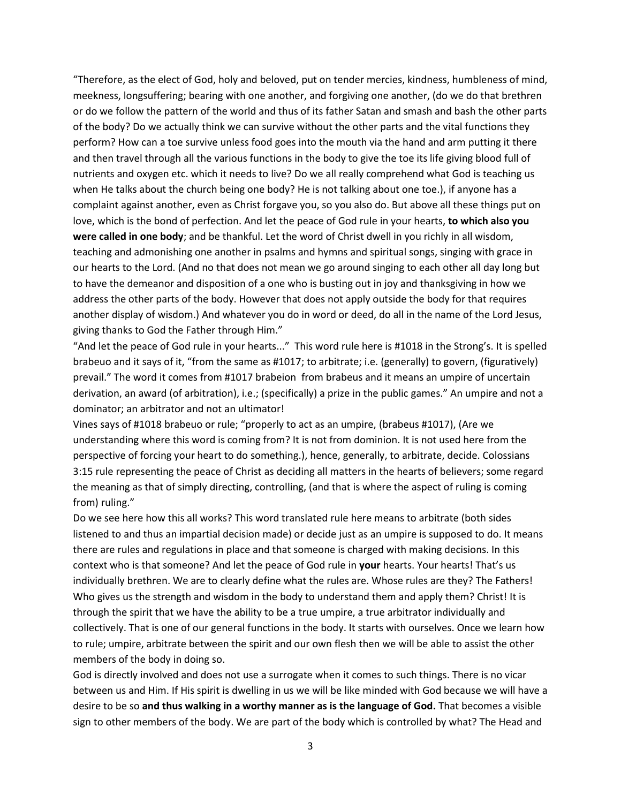"Therefore, as the elect of God, holy and beloved, put on tender mercies, kindness, humbleness of mind, meekness, longsuffering; bearing with one another, and forgiving one another, (do we do that brethren or do we follow the pattern of the world and thus of its father Satan and smash and bash the other parts of the body? Do we actually think we can survive without the other parts and the vital functions they perform? How can a toe survive unless food goes into the mouth via the hand and arm putting it there and then travel through all the various functions in the body to give the toe its life giving blood full of nutrients and oxygen etc. which it needs to live? Do we all really comprehend what God is teaching us when He talks about the church being one body? He is not talking about one toe.), if anyone has a complaint against another, even as Christ forgave you, so you also do. But above all these things put on love, which is the bond of perfection. And let the peace of God rule in your hearts, **to which also you were called in one body**; and be thankful. Let the word of Christ dwell in you richly in all wisdom, teaching and admonishing one another in psalms and hymns and spiritual songs, singing with grace in our hearts to the Lord. (And no that does not mean we go around singing to each other all day long but to have the demeanor and disposition of a one who is busting out in joy and thanksgiving in how we address the other parts of the body. However that does not apply outside the body for that requires another display of wisdom.) And whatever you do in word or deed, do all in the name of the Lord Jesus, giving thanks to God the Father through Him."

"And let the peace of God rule in your hearts..." This word rule here is #1018 in the Strong's. It is spelled brabeuo and it says of it, "from the same as #1017; to arbitrate; i.e. (generally) to govern, (figuratively) prevail." The word it comes from #1017 brabeion from brabeus and it means an umpire of uncertain derivation, an award (of arbitration), i.e.; (specifically) a prize in the public games." An umpire and not a dominator; an arbitrator and not an ultimator!

Vines says of #1018 brabeuo or rule; "properly to act as an umpire, (brabeus #1017), (Are we understanding where this word is coming from? It is not from dominion. It is not used here from the perspective of forcing your heart to do something.), hence, generally, to arbitrate, decide. Colossians 3:15 rule representing the peace of Christ as deciding all matters in the hearts of believers; some regard the meaning as that of simply directing, controlling, (and that is where the aspect of ruling is coming from) ruling."

Do we see here how this all works? This word translated rule here means to arbitrate (both sides listened to and thus an impartial decision made) or decide just as an umpire is supposed to do. It means there are rules and regulations in place and that someone is charged with making decisions. In this context who is that someone? And let the peace of God rule in **your** hearts. Your hearts! That's us individually brethren. We are to clearly define what the rules are. Whose rules are they? The Fathers! Who gives us the strength and wisdom in the body to understand them and apply them? Christ! It is through the spirit that we have the ability to be a true umpire, a true arbitrator individually and collectively. That is one of our general functions in the body. It starts with ourselves. Once we learn how to rule; umpire, arbitrate between the spirit and our own flesh then we will be able to assist the other members of the body in doing so.

God is directly involved and does not use a surrogate when it comes to such things. There is no vicar between us and Him. If His spirit is dwelling in us we will be like minded with God because we will have a desire to be so **and thus walking in a worthy manner as is the language of God.** That becomes a visible sign to other members of the body. We are part of the body which is controlled by what? The Head and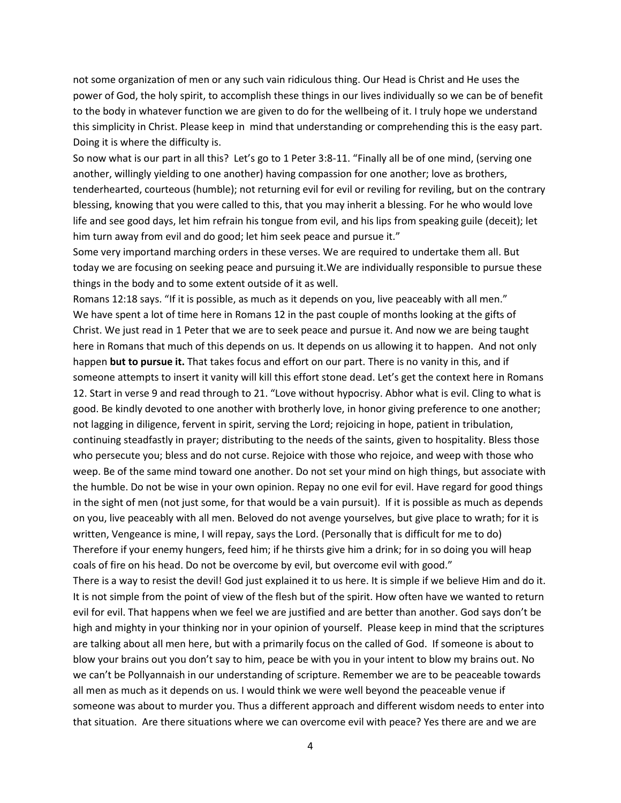not some organization of men or any such vain ridiculous thing. Our Head is Christ and He uses the power of God, the holy spirit, to accomplish these things in our lives individually so we can be of benefit to the body in whatever function we are given to do for the wellbeing of it. I truly hope we understand this simplicity in Christ. Please keep in mind that understanding or comprehending this is the easy part. Doing it is where the difficulty is.

So now what is our part in all this? Let's go to 1 Peter 3:8-11. "Finally all be of one mind, (serving one another, willingly yielding to one another) having compassion for one another; love as brothers, tenderhearted, courteous (humble); not returning evil for evil or reviling for reviling, but on the contrary blessing, knowing that you were called to this, that you may inherit a blessing. For he who would love life and see good days, let him refrain his tongue from evil, and his lips from speaking guile (deceit); let him turn away from evil and do good; let him seek peace and pursue it."

Some very importand marching orders in these verses. We are required to undertake them all. But today we are focusing on seeking peace and pursuing it.We are individually responsible to pursue these things in the body and to some extent outside of it as well.

Romans 12:18 says. "If it is possible, as much as it depends on you, live peaceably with all men." We have spent a lot of time here in Romans 12 in the past couple of months looking at the gifts of Christ. We just read in 1 Peter that we are to seek peace and pursue it. And now we are being taught here in Romans that much of this depends on us. It depends on us allowing it to happen. And not only happen **but to pursue it.** That takes focus and effort on our part. There is no vanity in this, and if someone attempts to insert it vanity will kill this effort stone dead. Let's get the context here in Romans 12. Start in verse 9 and read through to 21. "Love without hypocrisy. Abhor what is evil. Cling to what is good. Be kindly devoted to one another with brotherly love, in honor giving preference to one another; not lagging in diligence, fervent in spirit, serving the Lord; rejoicing in hope, patient in tribulation, continuing steadfastly in prayer; distributing to the needs of the saints, given to hospitality. Bless those who persecute you; bless and do not curse. Rejoice with those who rejoice, and weep with those who weep. Be of the same mind toward one another. Do not set your mind on high things, but associate with the humble. Do not be wise in your own opinion. Repay no one evil for evil. Have regard for good things in the sight of men (not just some, for that would be a vain pursuit). If it is possible as much as depends on you, live peaceably with all men. Beloved do not avenge yourselves, but give place to wrath; for it is written, Vengeance is mine, I will repay, says the Lord. (Personally that is difficult for me to do) Therefore if your enemy hungers, feed him; if he thirsts give him a drink; for in so doing you will heap coals of fire on his head. Do not be overcome by evil, but overcome evil with good."

There is a way to resist the devil! God just explained it to us here. It is simple if we believe Him and do it. It is not simple from the point of view of the flesh but of the spirit. How often have we wanted to return evil for evil. That happens when we feel we are justified and are better than another. God says don't be high and mighty in your thinking nor in your opinion of yourself. Please keep in mind that the scriptures are talking about all men here, but with a primarily focus on the called of God. If someone is about to blow your brains out you don't say to him, peace be with you in your intent to blow my brains out. No we can't be Pollyannaish in our understanding of scripture. Remember we are to be peaceable towards all men as much as it depends on us. I would think we were well beyond the peaceable venue if someone was about to murder you. Thus a different approach and different wisdom needs to enter into that situation. Are there situations where we can overcome evil with peace? Yes there are and we are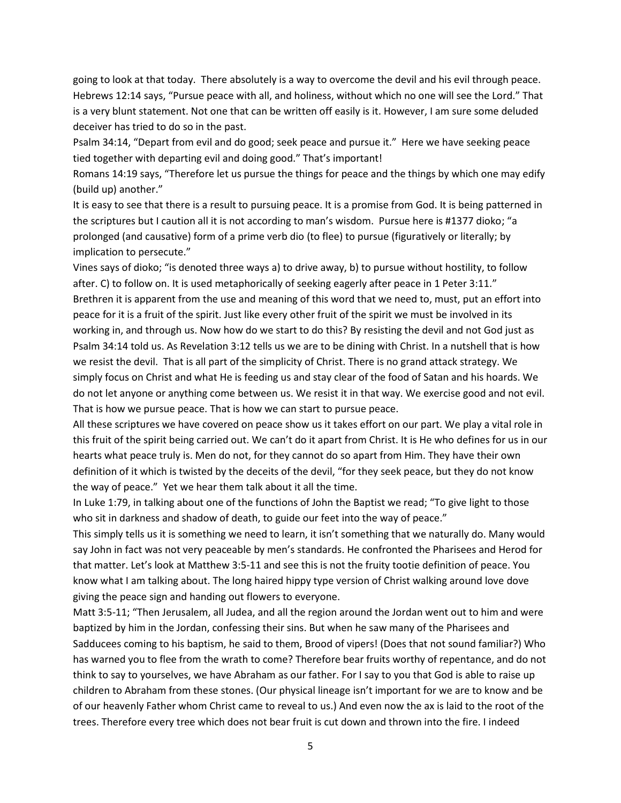going to look at that today. There absolutely is a way to overcome the devil and his evil through peace. Hebrews 12:14 says, "Pursue peace with all, and holiness, without which no one will see the Lord." That is a very blunt statement. Not one that can be written off easily is it. However, I am sure some deluded deceiver has tried to do so in the past.

Psalm 34:14, "Depart from evil and do good; seek peace and pursue it." Here we have seeking peace tied together with departing evil and doing good." That's important!

Romans 14:19 says, "Therefore let us pursue the things for peace and the things by which one may edify (build up) another."

It is easy to see that there is a result to pursuing peace. It is a promise from God. It is being patterned in the scriptures but I caution all it is not according to man's wisdom. Pursue here is #1377 dioko; "a prolonged (and causative) form of a prime verb dio (to flee) to pursue (figuratively or literally; by implication to persecute."

Vines says of dioko; "is denoted three ways a) to drive away, b) to pursue without hostility, to follow after. C) to follow on. It is used metaphorically of seeking eagerly after peace in 1 Peter 3:11." Brethren it is apparent from the use and meaning of this word that we need to, must, put an effort into peace for it is a fruit of the spirit. Just like every other fruit of the spirit we must be involved in its working in, and through us. Now how do we start to do this? By resisting the devil and not God just as Psalm 34:14 told us. As Revelation 3:12 tells us we are to be dining with Christ. In a nutshell that is how we resist the devil. That is all part of the simplicity of Christ. There is no grand attack strategy. We simply focus on Christ and what He is feeding us and stay clear of the food of Satan and his hoards. We do not let anyone or anything come between us. We resist it in that way. We exercise good and not evil. That is how we pursue peace. That is how we can start to pursue peace.

All these scriptures we have covered on peace show us it takes effort on our part. We play a vital role in this fruit of the spirit being carried out. We can't do it apart from Christ. It is He who defines for us in our hearts what peace truly is. Men do not, for they cannot do so apart from Him. They have their own definition of it which is twisted by the deceits of the devil, "for they seek peace, but they do not know the way of peace." Yet we hear them talk about it all the time.

In Luke 1:79, in talking about one of the functions of John the Baptist we read; "To give light to those who sit in darkness and shadow of death, to guide our feet into the way of peace."

This simply tells us it is something we need to learn, it isn't something that we naturally do. Many would say John in fact was not very peaceable by men's standards. He confronted the Pharisees and Herod for that matter. Let's look at Matthew 3:5-11 and see this is not the fruity tootie definition of peace. You know what I am talking about. The long haired hippy type version of Christ walking around love dove giving the peace sign and handing out flowers to everyone.

Matt 3:5-11; "Then Jerusalem, all Judea, and all the region around the Jordan went out to him and were baptized by him in the Jordan, confessing their sins. But when he saw many of the Pharisees and Sadducees coming to his baptism, he said to them, Brood of vipers! (Does that not sound familiar?) Who has warned you to flee from the wrath to come? Therefore bear fruits worthy of repentance, and do not think to say to yourselves, we have Abraham as our father. For I say to you that God is able to raise up children to Abraham from these stones. (Our physical lineage isn't important for we are to know and be of our heavenly Father whom Christ came to reveal to us.) And even now the ax is laid to the root of the trees. Therefore every tree which does not bear fruit is cut down and thrown into the fire. I indeed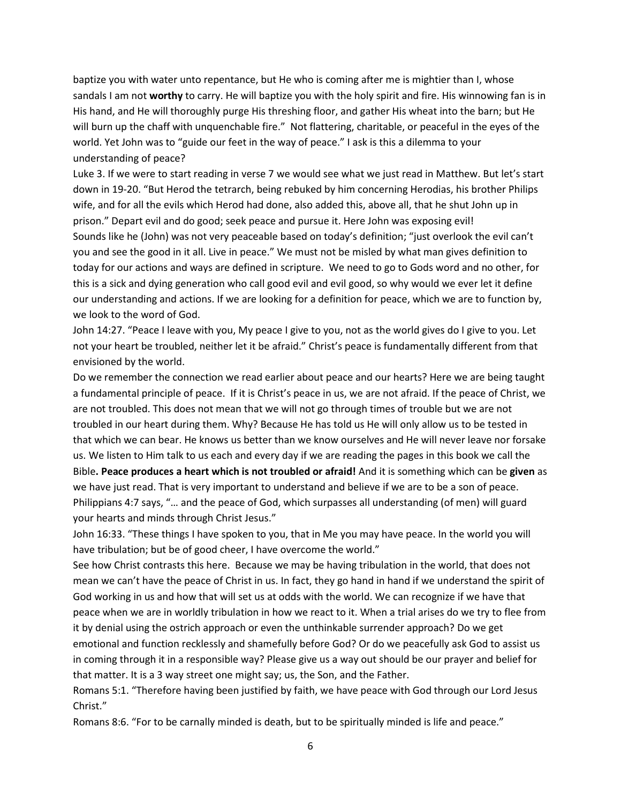baptize you with water unto repentance, but He who is coming after me is mightier than I, whose sandals I am not **worthy** to carry. He will baptize you with the holy spirit and fire. His winnowing fan is in His hand, and He will thoroughly purge His threshing floor, and gather His wheat into the barn; but He will burn up the chaff with unquenchable fire." Not flattering, charitable, or peaceful in the eyes of the world. Yet John was to "guide our feet in the way of peace." I ask is this a dilemma to your understanding of peace?

Luke 3. If we were to start reading in verse 7 we would see what we just read in Matthew. But let's start down in 19-20. "But Herod the tetrarch, being rebuked by him concerning Herodias, his brother Philips wife, and for all the evils which Herod had done, also added this, above all, that he shut John up in prison." Depart evil and do good; seek peace and pursue it. Here John was exposing evil! Sounds like he (John) was not very peaceable based on today's definition; "just overlook the evil can't you and see the good in it all. Live in peace." We must not be misled by what man gives definition to today for our actions and ways are defined in scripture. We need to go to Gods word and no other, for this is a sick and dying generation who call good evil and evil good, so why would we ever let it define our understanding and actions. If we are looking for a definition for peace, which we are to function by, we look to the word of God.

John 14:27. "Peace I leave with you, My peace I give to you, not as the world gives do I give to you. Let not your heart be troubled, neither let it be afraid." Christ's peace is fundamentally different from that envisioned by the world.

Do we remember the connection we read earlier about peace and our hearts? Here we are being taught a fundamental principle of peace. If it is Christ's peace in us, we are not afraid. If the peace of Christ, we are not troubled. This does not mean that we will not go through times of trouble but we are not troubled in our heart during them. Why? Because He has told us He will only allow us to be tested in that which we can bear. He knows us better than we know ourselves and He will never leave nor forsake us. We listen to Him talk to us each and every day if we are reading the pages in this book we call the Bible**. Peace produces a heart which is not troubled or afraid!** And it is something which can be **given** as we have just read. That is very important to understand and believe if we are to be a son of peace. Philippians 4:7 says, "… and the peace of God, which surpasses all understanding (of men) will guard your hearts and minds through Christ Jesus."

John 16:33. "These things I have spoken to you, that in Me you may have peace. In the world you will have tribulation; but be of good cheer, I have overcome the world."

See how Christ contrasts this here. Because we may be having tribulation in the world, that does not mean we can't have the peace of Christ in us. In fact, they go hand in hand if we understand the spirit of God working in us and how that will set us at odds with the world. We can recognize if we have that peace when we are in worldly tribulation in how we react to it. When a trial arises do we try to flee from it by denial using the ostrich approach or even the unthinkable surrender approach? Do we get emotional and function recklessly and shamefully before God? Or do we peacefully ask God to assist us in coming through it in a responsible way? Please give us a way out should be our prayer and belief for that matter. It is a 3 way street one might say; us, the Son, and the Father.

Romans 5:1. "Therefore having been justified by faith, we have peace with God through our Lord Jesus Christ."

Romans 8:6. "For to be carnally minded is death, but to be spiritually minded is life and peace."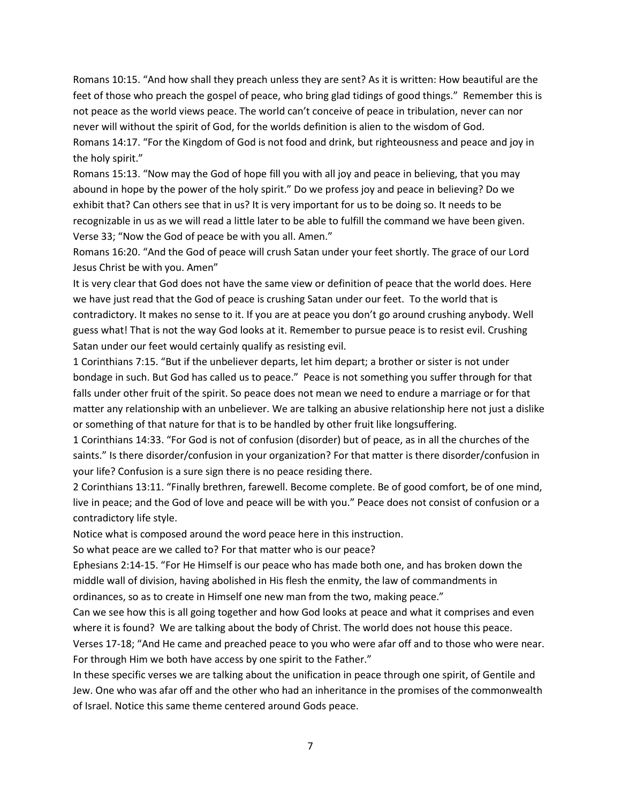Romans 10:15. "And how shall they preach unless they are sent? As it is written: How beautiful are the feet of those who preach the gospel of peace, who bring glad tidings of good things." Remember this is not peace as the world views peace. The world can't conceive of peace in tribulation, never can nor never will without the spirit of God, for the worlds definition is alien to the wisdom of God. Romans 14:17. "For the Kingdom of God is not food and drink, but righteousness and peace and joy in the holy spirit."

Romans 15:13. "Now may the God of hope fill you with all joy and peace in believing, that you may abound in hope by the power of the holy spirit." Do we profess joy and peace in believing? Do we exhibit that? Can others see that in us? It is very important for us to be doing so. It needs to be recognizable in us as we will read a little later to be able to fulfill the command we have been given. Verse 33; "Now the God of peace be with you all. Amen."

Romans 16:20. "And the God of peace will crush Satan under your feet shortly. The grace of our Lord Jesus Christ be with you. Amen"

It is very clear that God does not have the same view or definition of peace that the world does. Here we have just read that the God of peace is crushing Satan under our feet. To the world that is contradictory. It makes no sense to it. If you are at peace you don't go around crushing anybody. Well guess what! That is not the way God looks at it. Remember to pursue peace is to resist evil. Crushing Satan under our feet would certainly qualify as resisting evil.

1 Corinthians 7:15. "But if the unbeliever departs, let him depart; a brother or sister is not under bondage in such. But God has called us to peace." Peace is not something you suffer through for that falls under other fruit of the spirit. So peace does not mean we need to endure a marriage or for that matter any relationship with an unbeliever. We are talking an abusive relationship here not just a dislike or something of that nature for that is to be handled by other fruit like longsuffering.

1 Corinthians 14:33. "For God is not of confusion (disorder) but of peace, as in all the churches of the saints." Is there disorder/confusion in your organization? For that matter is there disorder/confusion in your life? Confusion is a sure sign there is no peace residing there.

2 Corinthians 13:11. "Finally brethren, farewell. Become complete. Be of good comfort, be of one mind, live in peace; and the God of love and peace will be with you." Peace does not consist of confusion or a contradictory life style.

Notice what is composed around the word peace here in this instruction.

So what peace are we called to? For that matter who is our peace?

Ephesians 2:14-15. "For He Himself is our peace who has made both one, and has broken down the middle wall of division, having abolished in His flesh the enmity, the law of commandments in ordinances, so as to create in Himself one new man from the two, making peace."

Can we see how this is all going together and how God looks at peace and what it comprises and even where it is found? We are talking about the body of Christ. The world does not house this peace.

Verses 17-18; "And He came and preached peace to you who were afar off and to those who were near. For through Him we both have access by one spirit to the Father."

In these specific verses we are talking about the unification in peace through one spirit, of Gentile and Jew. One who was afar off and the other who had an inheritance in the promises of the commonwealth of Israel. Notice this same theme centered around Gods peace.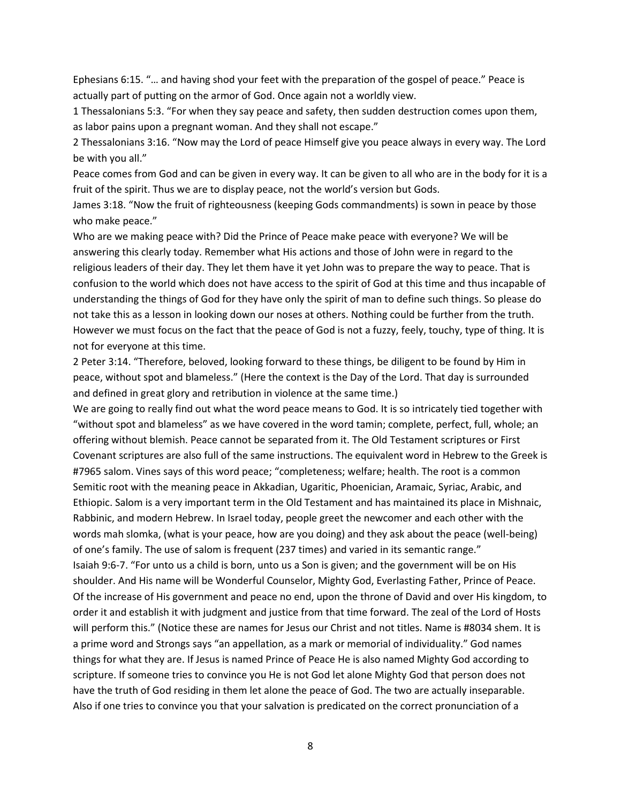Ephesians 6:15. "… and having shod your feet with the preparation of the gospel of peace." Peace is actually part of putting on the armor of God. Once again not a worldly view.

1 Thessalonians 5:3. "For when they say peace and safety, then sudden destruction comes upon them, as labor pains upon a pregnant woman. And they shall not escape."

2 Thessalonians 3:16. "Now may the Lord of peace Himself give you peace always in every way. The Lord be with you all."

Peace comes from God and can be given in every way. It can be given to all who are in the body for it is a fruit of the spirit. Thus we are to display peace, not the world's version but Gods.

James 3:18. "Now the fruit of righteousness (keeping Gods commandments) is sown in peace by those who make peace."

Who are we making peace with? Did the Prince of Peace make peace with everyone? We will be answering this clearly today. Remember what His actions and those of John were in regard to the religious leaders of their day. They let them have it yet John was to prepare the way to peace. That is confusion to the world which does not have access to the spirit of God at this time and thus incapable of understanding the things of God for they have only the spirit of man to define such things. So please do not take this as a lesson in looking down our noses at others. Nothing could be further from the truth. However we must focus on the fact that the peace of God is not a fuzzy, feely, touchy, type of thing. It is not for everyone at this time.

2 Peter 3:14. "Therefore, beloved, looking forward to these things, be diligent to be found by Him in peace, without spot and blameless." (Here the context is the Day of the Lord. That day is surrounded and defined in great glory and retribution in violence at the same time.)

We are going to really find out what the word peace means to God. It is so intricately tied together with "without spot and blameless" as we have covered in the word tamin; complete, perfect, full, whole; an offering without blemish. Peace cannot be separated from it. The Old Testament scriptures or First Covenant scriptures are also full of the same instructions. The equivalent word in Hebrew to the Greek is #7965 salom. Vines says of this word peace; "completeness; welfare; health. The root is a common Semitic root with the meaning peace in Akkadian, Ugaritic, Phoenician, Aramaic, Syriac, Arabic, and Ethiopic. Salom is a very important term in the Old Testament and has maintained its place in Mishnaic, Rabbinic, and modern Hebrew. In Israel today, people greet the newcomer and each other with the words mah slomka, (what is your peace, how are you doing) and they ask about the peace (well-being) of one's family. The use of salom is frequent (237 times) and varied in its semantic range." Isaiah 9:6-7. "For unto us a child is born, unto us a Son is given; and the government will be on His shoulder. And His name will be Wonderful Counselor, Mighty God, Everlasting Father, Prince of Peace. Of the increase of His government and peace no end, upon the throne of David and over His kingdom, to order it and establish it with judgment and justice from that time forward. The zeal of the Lord of Hosts will perform this." (Notice these are names for Jesus our Christ and not titles. Name is #8034 shem. It is a prime word and Strongs says "an appellation, as a mark or memorial of individuality." God names things for what they are. If Jesus is named Prince of Peace He is also named Mighty God according to scripture. If someone tries to convince you He is not God let alone Mighty God that person does not have the truth of God residing in them let alone the peace of God. The two are actually inseparable. Also if one tries to convince you that your salvation is predicated on the correct pronunciation of a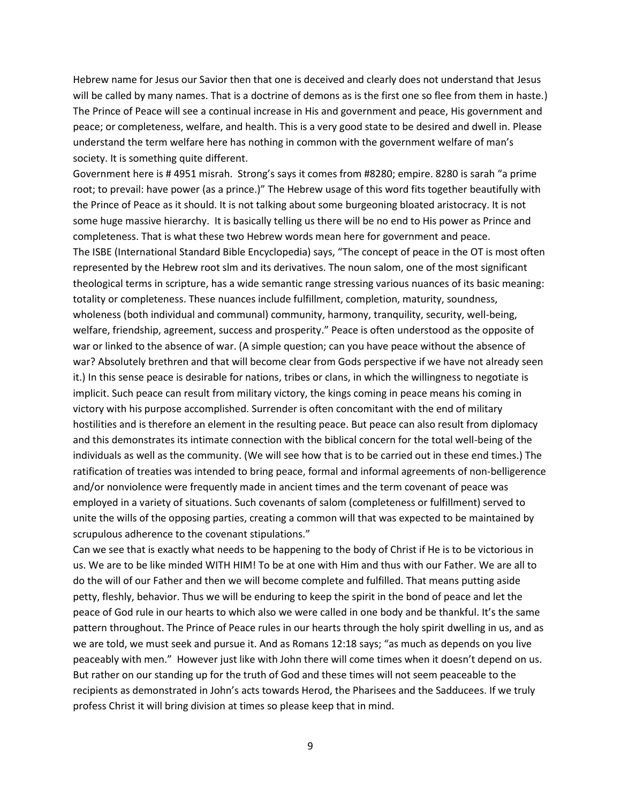Hebrew name for Jesus our Savior then that one is deceived and clearly does not understand that Jesus will be called by many names. That is a doctrine of demons as is the first one so flee from them in haste.) The Prince of Peace will see a continual increase in His and government and peace, His government and peace; or completeness, welfare, and health. This is a very good state to be desired and dwell in. Please understand the term welfare here has nothing in common with the government welfare of man's society. It is something quite different.

Government here is # 4951 misrah. Strong's says it comes from #8280; empire. 8280 is sarah "a prime root; to prevail: have power (as a prince.)" The Hebrew usage of this word fits together beautifully with the Prince of Peace as it should. It is not talking about some burgeoning bloated aristocracy. It is not some huge massive hierarchy. It is basically telling us there will be no end to His power as Prince and completeness. That is what these two Hebrew words mean here for government and peace. The ISBE (International Standard Bible Encyclopedia) says, "The concept of peace in the OT is most often represented by the Hebrew root slm and its derivatives. The noun salom, one of the most significant theological terms in scripture, has a wide semantic range stressing various nuances of its basic meaning: totality or completeness. These nuances include fulfillment, completion, maturity, soundness, wholeness (both individual and communal) community, harmony, tranquility, security, well-being, welfare, friendship, agreement, success and prosperity." Peace is often understood as the opposite of war or linked to the absence of war. (A simple question; can you have peace without the absence of war? Absolutely brethren and that will become clear from Gods perspective if we have not already seen it.) In this sense peace is desirable for nations, tribes or clans, in which the willingness to negotiate is implicit. Such peace can result from military victory, the kings coming in peace means his coming in victory with his purpose accomplished. Surrender is often concomitant with the end of military hostilities and is therefore an element in the resulting peace. But peace can also result from diplomacy and this demonstrates its intimate connection with the biblical concern for the total well-being of the individuals as well as the community. (We will see how that is to be carried out in these end times.) The ratification of treaties was intended to bring peace, formal and informal agreements of non-belligerence and/or nonviolence were frequently made in ancient times and the term covenant of peace was employed in a variety of situations. Such covenants of salom (completeness or fulfillment) served to unite the wills of the opposing parties, creating a common will that was expected to be maintained by scrupulous adherence to the covenant stipulations."

Can we see that is exactly what needs to be happening to the body of Christ if He is to be victorious in us. We are to be like minded WITH HIM! To be at one with Him and thus with our Father. We are all to do the will of our Father and then we will become complete and fulfilled. That means putting aside petty, fleshly, behavior. Thus we will be enduring to keep the spirit in the bond of peace and let the peace of God rule in our hearts to which also we were called in one body and be thankful. It's the same pattern throughout. The Prince of Peace rules in our hearts through the holy spirit dwelling in us, and as we are told, we must seek and pursue it. And as Romans 12:18 says; "as much as depends on you live peaceably with men." However just like with John there will come times when it doesn't depend on us. But rather on our standing up for the truth of God and these times will not seem peaceable to the recipients as demonstrated in John's acts towards Herod, the Pharisees and the Sadducees. If we truly profess Christ it will bring division at times so please keep that in mind.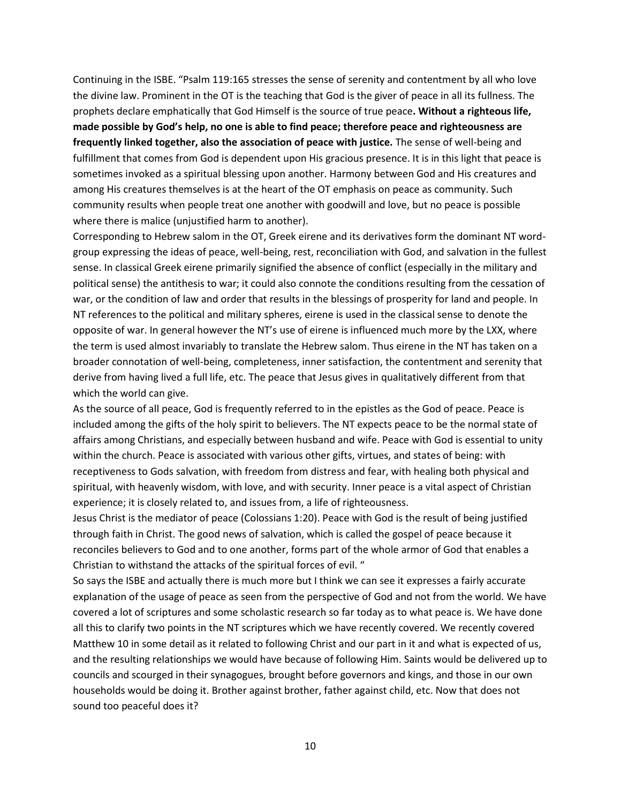Continuing in the ISBE. "Psalm 119:165 stresses the sense of serenity and contentment by all who love the divine law. Prominent in the OT is the teaching that God is the giver of peace in all its fullness. The prophets declare emphatically that God Himself is the source of true peace**. Without a righteous life, made possible by God's help, no one is able to find peace; therefore peace and righteousness are frequently linked together, also the association of peace with justice.** The sense of well-being and fulfillment that comes from God is dependent upon His gracious presence. It is in this light that peace is sometimes invoked as a spiritual blessing upon another. Harmony between God and His creatures and among His creatures themselves is at the heart of the OT emphasis on peace as community. Such community results when people treat one another with goodwill and love, but no peace is possible where there is malice (unjustified harm to another).

Corresponding to Hebrew salom in the OT, Greek eirene and its derivatives form the dominant NT wordgroup expressing the ideas of peace, well-being, rest, reconciliation with God, and salvation in the fullest sense. In classical Greek eirene primarily signified the absence of conflict (especially in the military and political sense) the antithesis to war; it could also connote the conditions resulting from the cessation of war, or the condition of law and order that results in the blessings of prosperity for land and people. In NT references to the political and military spheres, eirene is used in the classical sense to denote the opposite of war. In general however the NT's use of eirene is influenced much more by the LXX, where the term is used almost invariably to translate the Hebrew salom. Thus eirene in the NT has taken on a broader connotation of well-being, completeness, inner satisfaction, the contentment and serenity that derive from having lived a full life, etc. The peace that Jesus gives in qualitatively different from that which the world can give.

As the source of all peace, God is frequently referred to in the epistles as the God of peace. Peace is included among the gifts of the holy spirit to believers. The NT expects peace to be the normal state of affairs among Christians, and especially between husband and wife. Peace with God is essential to unity within the church. Peace is associated with various other gifts, virtues, and states of being: with receptiveness to Gods salvation, with freedom from distress and fear, with healing both physical and spiritual, with heavenly wisdom, with love, and with security. Inner peace is a vital aspect of Christian experience; it is closely related to, and issues from, a life of righteousness.

Jesus Christ is the mediator of peace (Colossians 1:20). Peace with God is the result of being justified through faith in Christ. The good news of salvation, which is called the gospel of peace because it reconciles believers to God and to one another, forms part of the whole armor of God that enables a Christian to withstand the attacks of the spiritual forces of evil. "

So says the ISBE and actually there is much more but I think we can see it expresses a fairly accurate explanation of the usage of peace as seen from the perspective of God and not from the world. We have covered a lot of scriptures and some scholastic research so far today as to what peace is. We have done all this to clarify two points in the NT scriptures which we have recently covered. We recently covered Matthew 10 in some detail as it related to following Christ and our part in it and what is expected of us, and the resulting relationships we would have because of following Him. Saints would be delivered up to councils and scourged in their synagogues, brought before governors and kings, and those in our own households would be doing it. Brother against brother, father against child, etc. Now that does not sound too peaceful does it?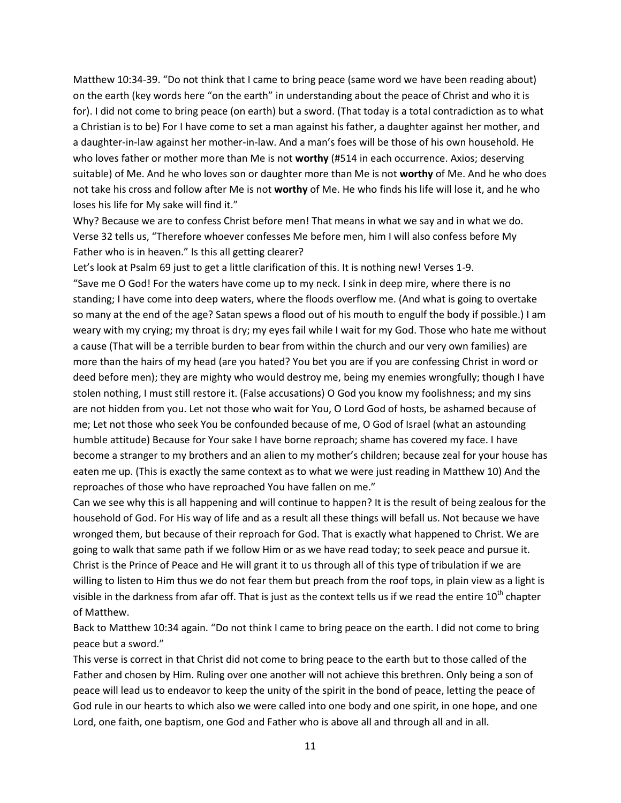Matthew 10:34-39. "Do not think that I came to bring peace (same word we have been reading about) on the earth (key words here "on the earth" in understanding about the peace of Christ and who it is for). I did not come to bring peace (on earth) but a sword. (That today is a total contradiction as to what a Christian is to be) For I have come to set a man against his father, a daughter against her mother, and a daughter-in-law against her mother-in-law. And a man's foes will be those of his own household. He who loves father or mother more than Me is not **worthy** (#514 in each occurrence. Axios; deserving suitable) of Me. And he who loves son or daughter more than Me is not **worthy** of Me. And he who does not take his cross and follow after Me is not **worthy** of Me. He who finds his life will lose it, and he who loses his life for My sake will find it."

Why? Because we are to confess Christ before men! That means in what we say and in what we do. Verse 32 tells us, "Therefore whoever confesses Me before men, him I will also confess before My Father who is in heaven." Is this all getting clearer?

Let's look at Psalm 69 just to get a little clarification of this. It is nothing new! Verses 1-9. "Save me O God! For the waters have come up to my neck. I sink in deep mire, where there is no standing; I have come into deep waters, where the floods overflow me. (And what is going to overtake so many at the end of the age? Satan spews a flood out of his mouth to engulf the body if possible.) I am weary with my crying; my throat is dry; my eyes fail while I wait for my God. Those who hate me without a cause (That will be a terrible burden to bear from within the church and our very own families) are more than the hairs of my head (are you hated? You bet you are if you are confessing Christ in word or deed before men); they are mighty who would destroy me, being my enemies wrongfully; though I have stolen nothing, I must still restore it. (False accusations) O God you know my foolishness; and my sins are not hidden from you. Let not those who wait for You, O Lord God of hosts, be ashamed because of me; Let not those who seek You be confounded because of me, O God of Israel (what an astounding humble attitude) Because for Your sake I have borne reproach; shame has covered my face. I have become a stranger to my brothers and an alien to my mother's children; because zeal for your house has eaten me up. (This is exactly the same context as to what we were just reading in Matthew 10) And the reproaches of those who have reproached You have fallen on me."

Can we see why this is all happening and will continue to happen? It is the result of being zealous for the household of God. For His way of life and as a result all these things will befall us. Not because we have wronged them, but because of their reproach for God. That is exactly what happened to Christ. We are going to walk that same path if we follow Him or as we have read today; to seek peace and pursue it. Christ is the Prince of Peace and He will grant it to us through all of this type of tribulation if we are willing to listen to Him thus we do not fear them but preach from the roof tops, in plain view as a light is visible in the darkness from afar off. That is just as the context tells us if we read the entire 10<sup>th</sup> chapter of Matthew.

Back to Matthew 10:34 again. "Do not think I came to bring peace on the earth. I did not come to bring peace but a sword."

This verse is correct in that Christ did not come to bring peace to the earth but to those called of the Father and chosen by Him. Ruling over one another will not achieve this brethren. Only being a son of peace will lead us to endeavor to keep the unity of the spirit in the bond of peace, letting the peace of God rule in our hearts to which also we were called into one body and one spirit, in one hope, and one Lord, one faith, one baptism, one God and Father who is above all and through all and in all.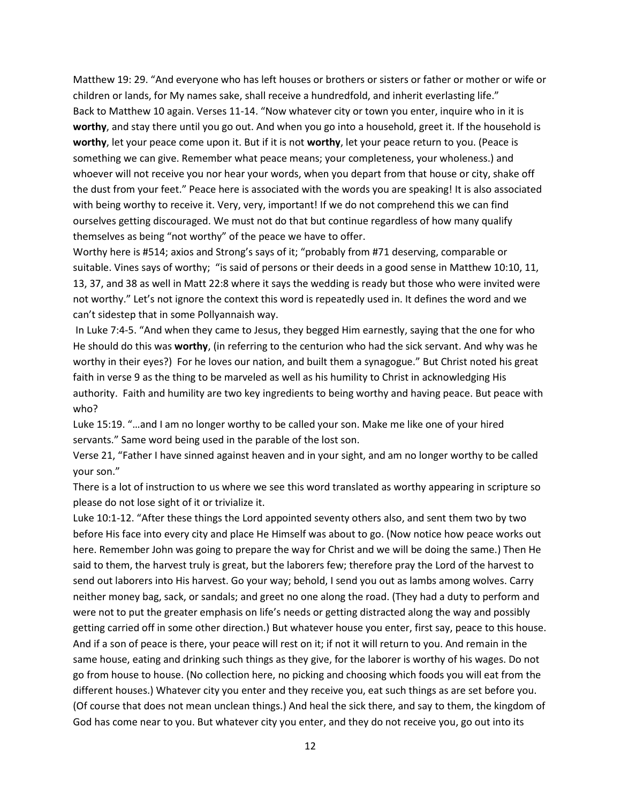Matthew 19: 29. "And everyone who has left houses or brothers or sisters or father or mother or wife or children or lands, for My names sake, shall receive a hundredfold, and inherit everlasting life." Back to Matthew 10 again. Verses 11-14. "Now whatever city or town you enter, inquire who in it is **worthy**, and stay there until you go out. And when you go into a household, greet it. If the household is **worthy**, let your peace come upon it. But if it is not **worthy**, let your peace return to you. (Peace is something we can give. Remember what peace means; your completeness, your wholeness.) and whoever will not receive you nor hear your words, when you depart from that house or city, shake off the dust from your feet." Peace here is associated with the words you are speaking! It is also associated with being worthy to receive it. Very, very, important! If we do not comprehend this we can find ourselves getting discouraged. We must not do that but continue regardless of how many qualify themselves as being "not worthy" of the peace we have to offer.

Worthy here is #514; axios and Strong's says of it; "probably from #71 deserving, comparable or suitable. Vines says of worthy; "is said of persons or their deeds in a good sense in Matthew 10:10, 11, 13, 37, and 38 as well in Matt 22:8 where it says the wedding is ready but those who were invited were not worthy." Let's not ignore the context this word is repeatedly used in. It defines the word and we can't sidestep that in some Pollyannaish way.

In Luke 7:4-5. "And when they came to Jesus, they begged Him earnestly, saying that the one for who He should do this was **worthy**, (in referring to the centurion who had the sick servant. And why was he worthy in their eyes?) For he loves our nation, and built them a synagogue." But Christ noted his great faith in verse 9 as the thing to be marveled as well as his humility to Christ in acknowledging His authority. Faith and humility are two key ingredients to being worthy and having peace. But peace with who?

Luke 15:19. "…and I am no longer worthy to be called your son. Make me like one of your hired servants." Same word being used in the parable of the lost son.

Verse 21, "Father I have sinned against heaven and in your sight, and am no longer worthy to be called your son."

There is a lot of instruction to us where we see this word translated as worthy appearing in scripture so please do not lose sight of it or trivialize it.

Luke 10:1-12. "After these things the Lord appointed seventy others also, and sent them two by two before His face into every city and place He Himself was about to go. (Now notice how peace works out here. Remember John was going to prepare the way for Christ and we will be doing the same.) Then He said to them, the harvest truly is great, but the laborers few; therefore pray the Lord of the harvest to send out laborers into His harvest. Go your way; behold, I send you out as lambs among wolves. Carry neither money bag, sack, or sandals; and greet no one along the road. (They had a duty to perform and were not to put the greater emphasis on life's needs or getting distracted along the way and possibly getting carried off in some other direction.) But whatever house you enter, first say, peace to this house. And if a son of peace is there, your peace will rest on it; if not it will return to you. And remain in the same house, eating and drinking such things as they give, for the laborer is worthy of his wages. Do not go from house to house. (No collection here, no picking and choosing which foods you will eat from the different houses.) Whatever city you enter and they receive you, eat such things as are set before you. (Of course that does not mean unclean things.) And heal the sick there, and say to them, the kingdom of God has come near to you. But whatever city you enter, and they do not receive you, go out into its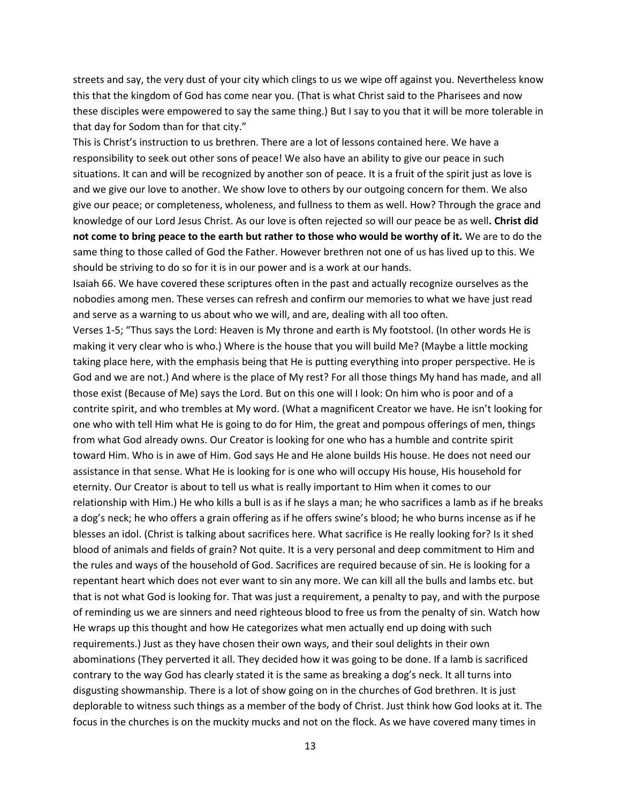streets and say, the very dust of your city which clings to us we wipe off against you. Nevertheless know this that the kingdom of God has come near you. (That is what Christ said to the Pharisees and now these disciples were empowered to say the same thing.) But I say to you that it will be more tolerable in that day for Sodom than for that city."

This is Christ's instruction to us brethren. There are a lot of lessons contained here. We have a responsibility to seek out other sons of peace! We also have an ability to give our peace in such situations. It can and will be recognized by another son of peace. It is a fruit of the spirit just as love is and we give our love to another. We show love to others by our outgoing concern for them. We also give our peace; or completeness, wholeness, and fullness to them as well. How? Through the grace and knowledge of our Lord Jesus Christ. As our love is often rejected so will our peace be as well**. Christ did not come to bring peace to the earth but rather to those who would be worthy of it.** We are to do the same thing to those called of God the Father. However brethren not one of us has lived up to this. We should be striving to do so for it is in our power and is a work at our hands.

Isaiah 66. We have covered these scriptures often in the past and actually recognize ourselves as the nobodies among men. These verses can refresh and confirm our memories to what we have just read and serve as a warning to us about who we will, and are, dealing with all too often.

Verses 1-5; "Thus says the Lord: Heaven is My throne and earth is My footstool. (In other words He is making it very clear who is who.) Where is the house that you will build Me? (Maybe a little mocking taking place here, with the emphasis being that He is putting everything into proper perspective. He is God and we are not.) And where is the place of My rest? For all those things My hand has made, and all those exist (Because of Me) says the Lord. But on this one will I look: On him who is poor and of a contrite spirit, and who trembles at My word. (What a magnificent Creator we have. He isn't looking for one who with tell Him what He is going to do for Him, the great and pompous offerings of men, things from what God already owns. Our Creator is looking for one who has a humble and contrite spirit toward Him. Who is in awe of Him. God says He and He alone builds His house. He does not need our assistance in that sense. What He is looking for is one who will occupy His house, His household for eternity. Our Creator is about to tell us what is really important to Him when it comes to our relationship with Him.) He who kills a bull is as if he slays a man; he who sacrifices a lamb as if he breaks a dog's neck; he who offers a grain offering as if he offers swine's blood; he who burns incense as if he blesses an idol. (Christ is talking about sacrifices here. What sacrifice is He really looking for? Is it shed blood of animals and fields of grain? Not quite. It is a very personal and deep commitment to Him and the rules and ways of the household of God. Sacrifices are required because of sin. He is looking for a repentant heart which does not ever want to sin any more. We can kill all the bulls and lambs etc. but that is not what God is looking for. That was just a requirement, a penalty to pay, and with the purpose of reminding us we are sinners and need righteous blood to free us from the penalty of sin. Watch how He wraps up this thought and how He categorizes what men actually end up doing with such requirements.) Just as they have chosen their own ways, and their soul delights in their own abominations (They perverted it all. They decided how it was going to be done. If a lamb is sacrificed contrary to the way God has clearly stated it is the same as breaking a dog's neck. It all turns into disgusting showmanship. There is a lot of show going on in the churches of God brethren. It is just deplorable to witness such things as a member of the body of Christ. Just think how God looks at it. The focus in the churches is on the muckity mucks and not on the flock. As we have covered many times in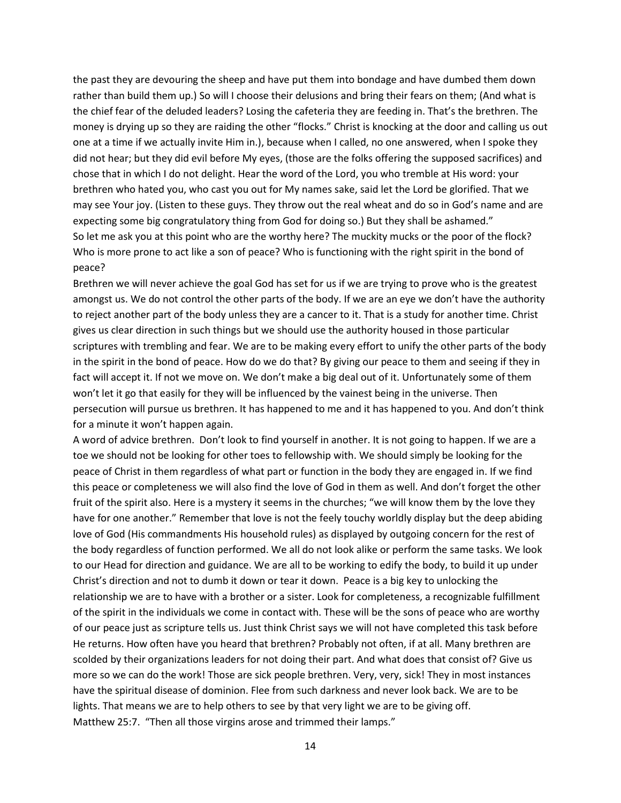the past they are devouring the sheep and have put them into bondage and have dumbed them down rather than build them up.) So will I choose their delusions and bring their fears on them; (And what is the chief fear of the deluded leaders? Losing the cafeteria they are feeding in. That's the brethren. The money is drying up so they are raiding the other "flocks." Christ is knocking at the door and calling us out one at a time if we actually invite Him in.), because when I called, no one answered, when I spoke they did not hear; but they did evil before My eyes, (those are the folks offering the supposed sacrifices) and chose that in which I do not delight. Hear the word of the Lord, you who tremble at His word: your brethren who hated you, who cast you out for My names sake, said let the Lord be glorified. That we may see Your joy. (Listen to these guys. They throw out the real wheat and do so in God's name and are expecting some big congratulatory thing from God for doing so.) But they shall be ashamed." So let me ask you at this point who are the worthy here? The muckity mucks or the poor of the flock? Who is more prone to act like a son of peace? Who is functioning with the right spirit in the bond of peace?

Brethren we will never achieve the goal God has set for us if we are trying to prove who is the greatest amongst us. We do not control the other parts of the body. If we are an eye we don't have the authority to reject another part of the body unless they are a cancer to it. That is a study for another time. Christ gives us clear direction in such things but we should use the authority housed in those particular scriptures with trembling and fear. We are to be making every effort to unify the other parts of the body in the spirit in the bond of peace. How do we do that? By giving our peace to them and seeing if they in fact will accept it. If not we move on. We don't make a big deal out of it. Unfortunately some of them won't let it go that easily for they will be influenced by the vainest being in the universe. Then persecution will pursue us brethren. It has happened to me and it has happened to you. And don't think for a minute it won't happen again.

A word of advice brethren. Don't look to find yourself in another. It is not going to happen. If we are a toe we should not be looking for other toes to fellowship with. We should simply be looking for the peace of Christ in them regardless of what part or function in the body they are engaged in. If we find this peace or completeness we will also find the love of God in them as well. And don't forget the other fruit of the spirit also. Here is a mystery it seems in the churches; "we will know them by the love they have for one another." Remember that love is not the feely touchy worldly display but the deep abiding love of God (His commandments His household rules) as displayed by outgoing concern for the rest of the body regardless of function performed. We all do not look alike or perform the same tasks. We look to our Head for direction and guidance. We are all to be working to edify the body, to build it up under Christ's direction and not to dumb it down or tear it down. Peace is a big key to unlocking the relationship we are to have with a brother or a sister. Look for completeness, a recognizable fulfillment of the spirit in the individuals we come in contact with. These will be the sons of peace who are worthy of our peace just as scripture tells us. Just think Christ says we will not have completed this task before He returns. How often have you heard that brethren? Probably not often, if at all. Many brethren are scolded by their organizations leaders for not doing their part. And what does that consist of? Give us more so we can do the work! Those are sick people brethren. Very, very, sick! They in most instances have the spiritual disease of dominion. Flee from such darkness and never look back. We are to be lights. That means we are to help others to see by that very light we are to be giving off. Matthew 25:7. "Then all those virgins arose and trimmed their lamps."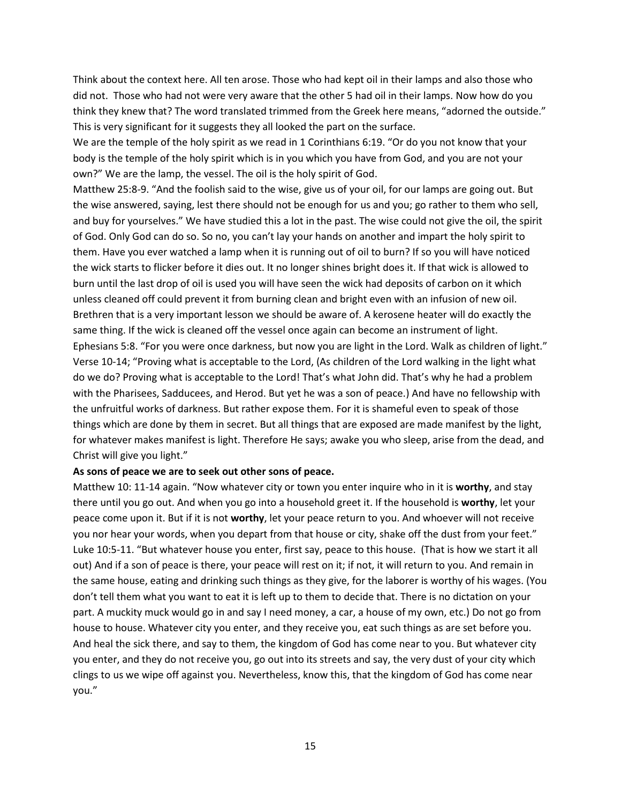Think about the context here. All ten arose. Those who had kept oil in their lamps and also those who did not. Those who had not were very aware that the other 5 had oil in their lamps. Now how do you think they knew that? The word translated trimmed from the Greek here means, "adorned the outside." This is very significant for it suggests they all looked the part on the surface.

We are the temple of the holy spirit as we read in 1 Corinthians 6:19. "Or do you not know that your body is the temple of the holy spirit which is in you which you have from God, and you are not your own?" We are the lamp, the vessel. The oil is the holy spirit of God.

Matthew 25:8-9. "And the foolish said to the wise, give us of your oil, for our lamps are going out. But the wise answered, saying, lest there should not be enough for us and you; go rather to them who sell, and buy for yourselves." We have studied this a lot in the past. The wise could not give the oil, the spirit of God. Only God can do so. So no, you can't lay your hands on another and impart the holy spirit to them. Have you ever watched a lamp when it is running out of oil to burn? If so you will have noticed the wick starts to flicker before it dies out. It no longer shines bright does it. If that wick is allowed to burn until the last drop of oil is used you will have seen the wick had deposits of carbon on it which unless cleaned off could prevent it from burning clean and bright even with an infusion of new oil. Brethren that is a very important lesson we should be aware of. A kerosene heater will do exactly the same thing. If the wick is cleaned off the vessel once again can become an instrument of light. Ephesians 5:8. "For you were once darkness, but now you are light in the Lord. Walk as children of light." Verse 10-14; "Proving what is acceptable to the Lord, (As children of the Lord walking in the light what do we do? Proving what is acceptable to the Lord! That's what John did. That's why he had a problem with the Pharisees, Sadducees, and Herod. But yet he was a son of peace.) And have no fellowship with the unfruitful works of darkness. But rather expose them. For it is shameful even to speak of those things which are done by them in secret. But all things that are exposed are made manifest by the light, for whatever makes manifest is light. Therefore He says; awake you who sleep, arise from the dead, and Christ will give you light."

## **As sons of peace we are to seek out other sons of peace.**

Matthew 10: 11-14 again. "Now whatever city or town you enter inquire who in it is **worthy**, and stay there until you go out. And when you go into a household greet it. If the household is **worthy**, let your peace come upon it. But if it is not **worthy**, let your peace return to you. And whoever will not receive you nor hear your words, when you depart from that house or city, shake off the dust from your feet." Luke 10:5-11. "But whatever house you enter, first say, peace to this house. (That is how we start it all out) And if a son of peace is there, your peace will rest on it; if not, it will return to you. And remain in the same house, eating and drinking such things as they give, for the laborer is worthy of his wages. (You don't tell them what you want to eat it is left up to them to decide that. There is no dictation on your part. A muckity muck would go in and say I need money, a car, a house of my own, etc.) Do not go from house to house. Whatever city you enter, and they receive you, eat such things as are set before you. And heal the sick there, and say to them, the kingdom of God has come near to you. But whatever city you enter, and they do not receive you, go out into its streets and say, the very dust of your city which clings to us we wipe off against you. Nevertheless, know this, that the kingdom of God has come near you."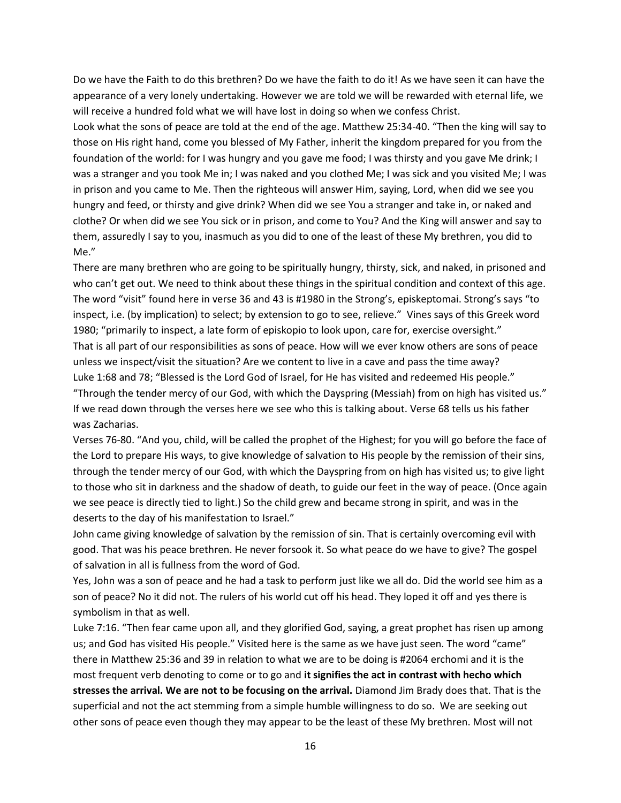Do we have the Faith to do this brethren? Do we have the faith to do it! As we have seen it can have the appearance of a very lonely undertaking. However we are told we will be rewarded with eternal life, we will receive a hundred fold what we will have lost in doing so when we confess Christ.

Look what the sons of peace are told at the end of the age. Matthew 25:34-40. "Then the king will say to those on His right hand, come you blessed of My Father, inherit the kingdom prepared for you from the foundation of the world: for I was hungry and you gave me food; I was thirsty and you gave Me drink; I was a stranger and you took Me in; I was naked and you clothed Me; I was sick and you visited Me; I was in prison and you came to Me. Then the righteous will answer Him, saying, Lord, when did we see you hungry and feed, or thirsty and give drink? When did we see You a stranger and take in, or naked and clothe? Or when did we see You sick or in prison, and come to You? And the King will answer and say to them, assuredly I say to you, inasmuch as you did to one of the least of these My brethren, you did to Me."

There are many brethren who are going to be spiritually hungry, thirsty, sick, and naked, in prisoned and who can't get out. We need to think about these things in the spiritual condition and context of this age. The word "visit" found here in verse 36 and 43 is #1980 in the Strong's, episkeptomai. Strong's says "to inspect, i.e. (by implication) to select; by extension to go to see, relieve." Vines says of this Greek word 1980; "primarily to inspect, a late form of episkopio to look upon, care for, exercise oversight." That is all part of our responsibilities as sons of peace. How will we ever know others are sons of peace unless we inspect/visit the situation? Are we content to live in a cave and pass the time away? Luke 1:68 and 78; "Blessed is the Lord God of Israel, for He has visited and redeemed His people." "Through the tender mercy of our God, with which the Dayspring (Messiah) from on high has visited us." If we read down through the verses here we see who this is talking about. Verse 68 tells us his father was Zacharias.

Verses 76-80. "And you, child, will be called the prophet of the Highest; for you will go before the face of the Lord to prepare His ways, to give knowledge of salvation to His people by the remission of their sins, through the tender mercy of our God, with which the Dayspring from on high has visited us; to give light to those who sit in darkness and the shadow of death, to guide our feet in the way of peace. (Once again we see peace is directly tied to light.) So the child grew and became strong in spirit, and was in the deserts to the day of his manifestation to Israel."

John came giving knowledge of salvation by the remission of sin. That is certainly overcoming evil with good. That was his peace brethren. He never forsook it. So what peace do we have to give? The gospel of salvation in all is fullness from the word of God.

Yes, John was a son of peace and he had a task to perform just like we all do. Did the world see him as a son of peace? No it did not. The rulers of his world cut off his head. They loped it off and yes there is symbolism in that as well.

Luke 7:16. "Then fear came upon all, and they glorified God, saying, a great prophet has risen up among us; and God has visited His people." Visited here is the same as we have just seen. The word "came" there in Matthew 25:36 and 39 in relation to what we are to be doing is #2064 erchomi and it is the most frequent verb denoting to come or to go and **it signifies the act in contrast with hecho which stresses the arrival. We are not to be focusing on the arrival.** Diamond Jim Brady does that. That is the superficial and not the act stemming from a simple humble willingness to do so. We are seeking out other sons of peace even though they may appear to be the least of these My brethren. Most will not